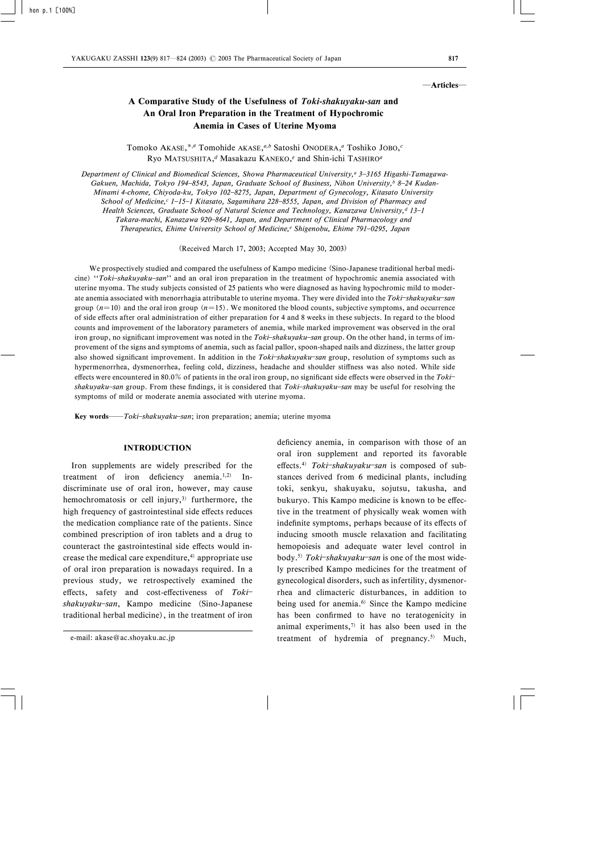#### ―Articles―

# A Comparative Study of the Usefulness of Toki-shakuyaku-san and An Oral Iron Preparation in the Treatment of Hypochromic Anemia in Cases of Uterine Myoma

Tomoko AKASE,<sup>\*,a</sup> Tomohide AKASE,<sup>a,b</sup> Satoshi ONODERA,<sup>a</sup> Toshiko JOBO,<sup>c</sup> Ryo MATSUSHITA,<sup>d</sup> Masakazu KANEKO,<sup>e</sup> and Shin-ichi TASHIRO<sup>a</sup>

Department of Clinical and Biomedical Sciences, Showa Pharmaceutical University,<sup>a</sup> 3-3165 Higashi-Tamagawa-Gakuen, Machida, Tokyo 194-8543, Japan, Graduate School of Business, Nihon University, $b$  8-24 Kudan-Minami 4-chome, Chiyoda-ku, Tokyo 102-8275, Japan, Department of Gynecology, Kitasato University School of Medicine,<sup>c</sup> 1-15-1 Kitasato, Sagamihara 228-8555, Japan, and Division of Pharmacy and Health Sciences, Graduate School of Natural Science and Technology, Kanazawa University,<sup>d</sup> 13-1 Takara-machi, Kanazawa 920-8641, Japan, and Department of Clinical Pharmacology and Therapeutics, Ehime University School of Medicine,<sup>e</sup> Shigenobu, Ehime 791-0295, Japan

(Received March 17, 2003; Accepted May 30, 2003)

We prospectively studied and compared the usefulness of Kampo medicine (Sino-Japanese traditional herbal medicine) "Toki-shakuyaku-san" and an oral iron preparation in the treatment of hypochromic anemia associated with uterine myoma. The study subjects consisted of 25 patients who were diagnosed as having hypochromic mild to moderate anemia associated with menorrhagia attributable to uterine myoma. They were divided into the Toki-shakuyaku-san group  $(n=10)$  and the oral iron group  $(n=15)$ . We monitored the blood counts, subjective symptoms, and occurrence of side effects after oral administration of either preparation for 4 and 8 weeks in these subjects. In regard to the blood counts and improvement of the laboratory parameters of anemia, while marked improvement was observed in the oral iron group, no significant improvement was noted in the Toki-shakuyaku-san group. On the other hand, in terms of improvement of the signs and symptoms of anemia, such as facial pallor, spoon-shaped nails and dizziness, the latter group also showed significant improvement. In addition in the Toki-shakuyaku-san group, resolution of symptoms such as hypermenorrhea, dysmenorrhea, feeling cold, dizziness, headache and shoulder stiffness was also noted. While side effects were encountered in 80.0% of patients in the oral iron group, no significant side effects were observed in the Tokishakuyaku-san group. From these findings, it is considered that Toki-shakuyaku-san may be useful for resolving the symptoms of mild or moderate anemia associated with uterine myoma.

Key words— $Toki$ -shakuyaku-san; iron preparation; anemia; uterine myoma

## INTRODUCTION

Iron supplements are widely prescribed for the treatment of iron deficiency anemia.<sup>1,2)</sup> Indiscriminate use of oral iron, however, may cause hemochromatosis or cell injury,<sup>3)</sup> furthermore, the high frequency of gastrointestinal side effects reduces the medication compliance rate of the patients. Since combined prescription of iron tablets and a drug to counteract the gastrointestinal side effects would increase the medical care expenditure, $4$  appropriate use of oral iron preparation is nowadays required. In a previous study, we retrospectively examined the effects, safety and cost-effectiveness of  $Toki$ shakuyaku-san, Kampo medicine (Sino-Japanese traditional herbal medicine), in the treatment of iron deficiency anemia, in comparison with those of an oral iron supplement and reported its favorable effects.<sup>4)</sup> Toki-shakuyaku-san is composed of substances derived from 6 medicinal plants, including toki, senkyu, shakuyaku, sojutsu, takusha, and bukuryo. This Kampo medicine is known to be effective in the treatment of physically weak women with indefinite symptoms, perhaps because of its effects of inducing smooth muscle relaxation and facilitating hemopoiesis and adequate water level control in body.<sup>5)</sup> Toki-shakuyaku-san is one of the most widely prescribed Kampo medicines for the treatment of gynecological disorders, such as infertility, dysmenorrhea and climacteric disturbances, in addition to being used for anemia.6) Since the Kampo medicine has been confirmed to have no teratogenicity in animal experiments, $7$  it has also been used in the treatment of hydremia of pregnancy.<sup>5)</sup> Much,

e-mail: akase@ac.shoyaku.ac.jp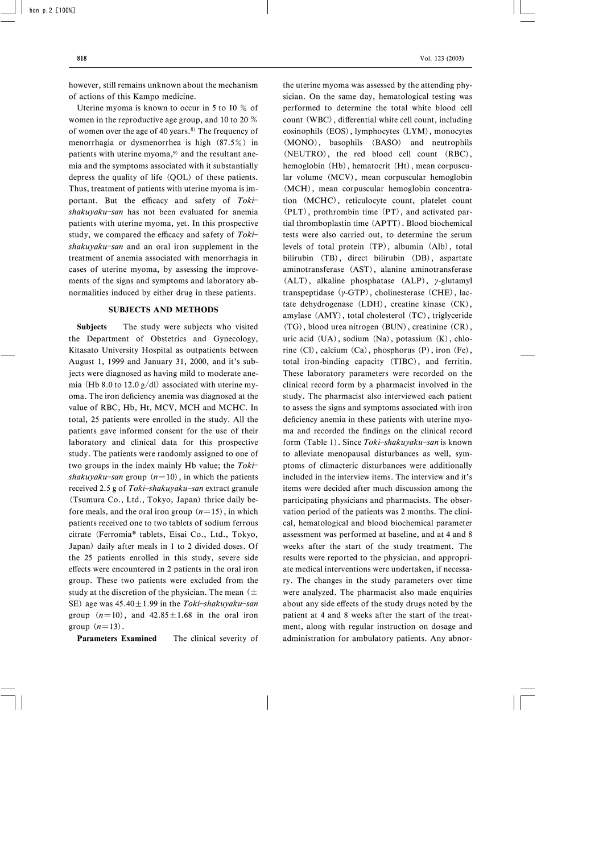however, still remains unknown about the mechanism of actions of this Kampo medicine.

Uterine myoma is known to occur in 5 to 10 % of women in the reproductive age group, and 10 to 20 % of women over the age of 40 years. $8$ ) The frequency of menorrhagia or dysmenorrhea is high (87.5%) in patients with uterine myoma, $9$  and the resultant anemia and the symptoms associated with it substantially depress the quality of life (QOL) of these patients. Thus, treatment of patients with uterine myoma is important. But the efficacy and safety of  $Toki$ shakuyaku-san has not been evaluated for anemia patients with uterine myoma, yet. In this prospective study, we compared the efficacy and safety of  $Toki$  $shakuyaku$ -san and an oral iron supplement in the treatment of anemia associated with menorrhagia in cases of uterine myoma, by assessing the improvements of the signs and symptoms and laboratory abnormalities induced by either drug in these patients.

#### SUBJECTS AND METHODS

Subjects The study were subjects who visited the Department of Obstetrics and Gynecology, Kitasato University Hospital as outpatients between August 1, 1999 and January 31, 2000, and it's subjects were diagnosed as having mild to moderate anemia (Hb 8.0 to 12.0  $g/dl$ ) associated with uterine myoma. The iron deficiency anemia was diagnosed at the value of RBC, Hb, Ht, MCV, MCH and MCHC. In total, 25 patients were enrolled in the study. All the patients gave informed consent for the use of their laboratory and clinical data for this prospective study. The patients were randomly assigned to one of two groups in the index mainly Hb value; the  $Toki$ shakuyaku-san group  $(n=10)$ , in which the patients received 2.5 g of  $Toki$ -shakuyaku-san extract granule (Tsumura Co., Ltd., Tokyo, Japan) thrice daily before meals, and the oral iron group  $(n=15)$ , in which patients received one to two tablets of sodium ferrous citrate (Ferromia<sup>®</sup> tablets, Eisai Co., Ltd., Tokyo, Japan) daily after meals in 1 to 2 divided doses. Of the 25 patients enrolled in this study, severe side effects were encountered in 2 patients in the oral iron group. These two patients were excluded from the study at the discretion of the physician. The mean  $(\pm)$ SE) age was  $45.40 \pm 1.99$  in the Toki-shakuyaku-san group  $(n=10)$ , and  $42.85 \pm 1.68$  in the oral iron group  $(n=13)$ .

Parameters Examined The clinical severity of

the uterine myoma was assessed by the attending physician. On the same day, hematological testing was performed to determine the total white blood cell count (WBC), differential white cell count, including eosinophils (EOS), lymphocytes (LYM), monocytes (MONO), basophils (BASO) and neutrophils (NEUTRO), the red blood cell count (RBC), hemoglobin (Hb), hematocrit (Ht), mean corpuscular volume (MCV), mean corpuscular hemoglobin (MCH), mean corpuscular hemoglobin concentration (MCHC), reticulocyte count, platelet count (PLT), prothrombin time (PT), and activated partial thromboplastin time (APTT). Blood biochemical tests were also carried out, to determine the serum levels of total protein (TP), albumin (Alb), total bilirubin (TB), direct bilirubin (DB), aspartate aminotransferase (AST), alanine aminotransferase  $(ALT)$ , alkaline phosphatase  $(ALP)$ , y-glutamyl transpeptidase  $(y-GTP)$ , cholinesterase  $(CHE)$ , lactate dehydrogenase (LDH), creatine kinase (CK), amylase (AMY), total cholesterol (TC), triglyceride (TG), blood urea nitrogen (BUN), creatinine (CR), uric acid (UA), sodium (Na), potassium (K), chlorine (Cl), calcium (Ca), phosphorus (P), iron (Fe), total iron-binding capacity (TIBC), and ferritin. These laboratory parameters were recorded on the clinical record form by a pharmacist involved in the study. The pharmacist also interviewed each patient to assess the signs and symptoms associated with iron deficiency anemia in these patients with uterine myoma and recorded the findings on the clinical record form (Table 1). Since Toki-shakuyaku-san is known to alleviate menopausal disturbances as well, symptoms of climacteric disturbances were additionally included in the interview items. The interview and it's items were decided after much discussion among the participating physicians and pharmacists. The observation period of the patients was 2 months. The clinical, hematological and blood biochemical parameter assessment was performed at baseline, and at 4 and 8 weeks after the start of the study treatment. The results were reported to the physician, and appropriate medical interventions were undertaken, if necessary. The changes in the study parameters over time were analyzed. The pharmacist also made enquiries about any side effects of the study drugs noted by the patient at 4 and 8 weeks after the start of the treatment, along with regular instruction on dosage and administration for ambulatory patients. Any abnor-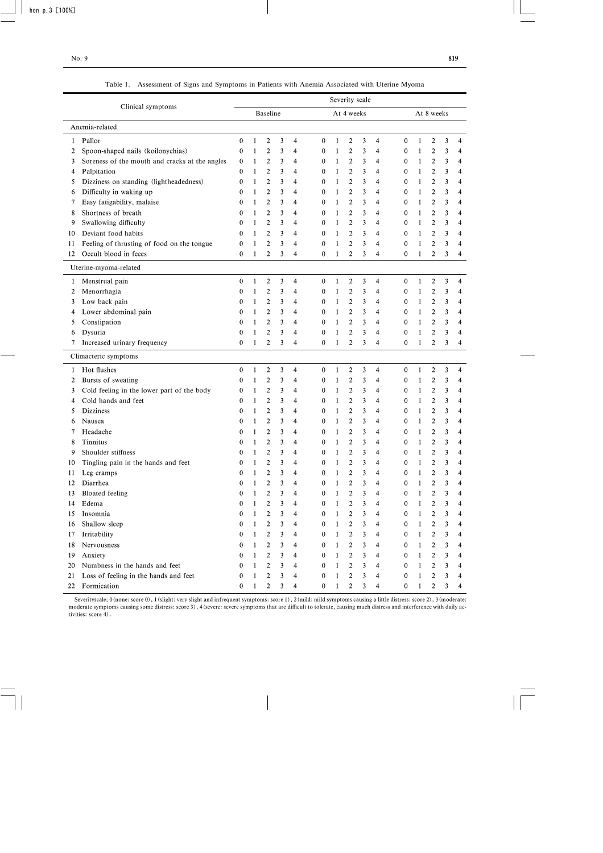|                        |                                                | Severity scale   |              |                |   |                          |                  |              |                |                         |                |                  |              |                |   |   |
|------------------------|------------------------------------------------|------------------|--------------|----------------|---|--------------------------|------------------|--------------|----------------|-------------------------|----------------|------------------|--------------|----------------|---|---|
| Clinical symptoms      |                                                | <b>Baseline</b>  |              |                |   |                          | At 4 weeks       |              |                |                         |                | At 8 weeks       |              |                |   |   |
| Anemia-related         |                                                |                  |              |                |   |                          |                  |              |                |                         |                |                  |              |                |   |   |
| Pallor<br>$\mathbf{1}$ |                                                | $\boldsymbol{0}$ | $\mathbf{1}$ | $\overline{c}$ | 3 | 4                        | $\boldsymbol{0}$ | $\mathbf{1}$ | $\overline{2}$ | 3                       | 4              | $\boldsymbol{0}$ | $\mathbf{1}$ | $\overline{c}$ | 3 | 4 |
| 2                      | Spoon-shaped nails (koilonychias)              | $\mathbf{0}$     | 1            | 2              | 3 | 4                        | $\mathbf{0}$     | $\mathbf{1}$ | $\overline{2}$ | 3                       | 4              | 0                | $\mathbf{1}$ | $\mathbf{2}$   | 3 | 4 |
| 3                      | Soreness of the mouth and cracks at the angles | 0                | 1            | 2              | 3 | 4                        | $\mathbf{0}$     | $\mathbf{1}$ | 2              | 3                       | 4              | $\boldsymbol{0}$ | $\mathbf{1}$ | $\overline{2}$ | 3 | 4 |
| Palpitation<br>4       |                                                | $\bf{0}$         | 1            | 2              | 3 | 4                        | $\mathbf{0}$     | $\mathbf{1}$ | $\overline{c}$ | 3                       | 4              | $\boldsymbol{0}$ | $\mathbf{1}$ | $\overline{c}$ | 3 | 4 |
| 5                      | Dizziness on standing (lightheadedness)        | $\bf{0}$         | 1            | $\overline{c}$ | 3 | 4                        | 0                | $\mathbf{1}$ | $\overline{c}$ | 3                       | 4              | 0                | 1            | $\overline{2}$ | 3 | 4 |
| 6                      | Difficulty in waking up                        | $\Omega$         | 1            | 2              | 3 | 4                        | $\mathbf{0}$     | $\mathbf{1}$ | $\overline{2}$ | 3                       | 4              | $\boldsymbol{0}$ | 1            | $\overline{2}$ | 3 | 4 |
| 7                      | Easy fatigability, malaise                     | $\theta$         | 1            | $\overline{c}$ | 3 | 4                        | $\mathbf{0}$     | $\mathbf{1}$ | 2              | 3                       | 4              | 0                | 1            | $\overline{2}$ | 3 | 4 |
| 8                      | Shortness of breath                            | $\bf{0}$         | 1            | 2              | 3 | 4                        | $\bf{0}$         | 1            | $\overline{c}$ | 3                       | 4              | 0                | 1            | $\overline{2}$ | 3 | 4 |
| 9                      | Swallowing difficulty                          | $\bf{0}$         | 1            | 2              | 3 | 4                        | $\bf{0}$         | $\mathbf{1}$ | $\overline{c}$ | 3                       | 4              | 0                | 1            | $\overline{2}$ | 3 | 4 |
| 10                     | Deviant food habits                            | $\bf{0}$         | 1            | $\overline{c}$ | 3 | 4                        | $\bf{0}$         | $\mathbf{1}$ | $\overline{c}$ | 3                       | 4              | $\boldsymbol{0}$ | $\mathbf{1}$ | $\overline{2}$ | 3 | 4 |
| 11                     | Feeling of thrusting of food on the tongue     | $\boldsymbol{0}$ | 1            | $\overline{c}$ | 3 | 4                        | $\boldsymbol{0}$ | $\mathbf{1}$ | $\overline{c}$ | 3                       | 4              | 0                | 1            | $\overline{c}$ | 3 | 4 |
| 12                     | Occult blood in feces                          | $\mathbf{0}$     | 1            | $\overline{2}$ | 3 | 4                        | $\mathbf{0}$     | $\mathbf{1}$ | $\overline{2}$ | 3                       | $\overline{4}$ | $\mathbf{0}$     | 1            | $\overline{2}$ | 3 | 4 |
|                        | Uterine-myoma-related                          |                  |              |                |   |                          |                  |              |                |                         |                |                  |              |                |   |   |
| $\mathbf{1}$           | Menstrual pain                                 | $\mathbf{0}$     | $\mathbf{1}$ | $\overline{c}$ | 3 | 4                        | $\boldsymbol{0}$ | $\mathbf{1}$ | $\overline{c}$ | 3                       | 4              | $\boldsymbol{0}$ | $\mathbf{1}$ | $\mathbf{2}$   | 3 | 4 |
| 2                      | Menorrhagia                                    | 0                | $\mathbf{1}$ | 2              | 3 | 4                        | $\bf{0}$         | $\mathbf{1}$ | $\overline{c}$ | 3                       | 4              | $\boldsymbol{0}$ | $\mathbf{1}$ | $\overline{c}$ | 3 | 4 |
| 3                      | Low back pain                                  | 0                | 1            | $\overline{c}$ | 3 | 4                        | $\mathbf{0}$     | $\mathbf{1}$ | $\overline{c}$ | 3                       | 4              | $\mathbf{0}$     | 1            | $\overline{2}$ | 3 | 4 |
| 4                      | Lower abdominal pain                           | $\bf{0}$         | 1            | $\overline{c}$ | 3 | 4                        | $\bf{0}$         | $\mathbf{1}$ | $\overline{2}$ | 3                       | 4              | $\boldsymbol{0}$ | 1            | $\overline{2}$ | 3 | 4 |
| 5                      | Constipation                                   | $\bf{0}$         | 1            | 2              | 3 | 4                        | $\mathbf{0}$     | $\mathbf{1}$ | $\overline{2}$ | 3                       | 4              | $\boldsymbol{0}$ | 1            | $\overline{2}$ | 3 | 4 |
| Dysuria<br>6           |                                                | $\bf{0}$         | 1            | $\overline{c}$ | 3 | 4                        | $\mathbf{0}$     | $\mathbf{1}$ | $\overline{c}$ | 3                       | 4              | $\boldsymbol{0}$ | $\mathbf{1}$ | $\overline{2}$ | 3 | 4 |
| 7                      | Increased urinary frequency                    | $\mathbf{0}$     | 1            | $\overline{c}$ | 3 | 4                        | $\bf{0}$         | $\mathbf{1}$ | $\overline{c}$ | 3                       | $\overline{4}$ | $\mathbf{0}$     | 1            | $\overline{2}$ | 3 | 4 |
| Climacteric symptoms   |                                                |                  |              |                |   |                          |                  |              |                |                         |                |                  |              |                |   |   |
| Hot flushes<br>1       |                                                | 0                | $\mathbf{1}$ | $\overline{c}$ | 3 | 4                        | $\boldsymbol{0}$ | $\mathbf{1}$ | $\overline{c}$ | 3                       | 4              | $\boldsymbol{0}$ | $\mathbf{1}$ | $\overline{c}$ | 3 | 4 |
| 2                      | Bursts of sweating                             | $\boldsymbol{0}$ | $\mathbf{1}$ | 2              | 3 | 4                        | $\mathbf{0}$     | $\mathbf{1}$ | $\overline{c}$ | 3                       | 4              | $\boldsymbol{0}$ | $\mathbf{1}$ | $\mathbf{2}$   | 3 | 4 |
| 3                      | Cold feeling in the lower part of the body     | 0                | 1            | 2              | 3 | 4                        | $\mathbf{0}$     | $\mathbf{1}$ | 2              | 3                       | 4              | $\boldsymbol{0}$ | $\mathbf{1}$ | $\mathbf{2}$   | 3 | 4 |
| 4                      | Cold hands and feet                            | $\theta$         | 1            | $\overline{c}$ | 3 | 4                        | $\mathbf{0}$     | $\mathbf{1}$ | 2              | 3                       | 4              | $\boldsymbol{0}$ | 1            | $\overline{2}$ | 3 | 4 |
| <b>Dizziness</b><br>5  |                                                | $\bf{0}$         | 1            | 2              | 3 | 4                        | $\bf{0}$         | $\mathbf{1}$ | $\overline{c}$ | 3                       | 4              | 0                | 1            | $\overline{2}$ | 3 | 4 |
| Nausea<br>6            |                                                | $\bf{0}$         | 1            | 2              | 3 | 4                        | $\bf{0}$         | $\mathbf{1}$ | $\overline{2}$ | 3                       | 4              | 0                | 1            | $\overline{2}$ | 3 | 4 |
| Headache<br>7          |                                                | 0                | 1            | 2              | 3 | 4                        | 0                | $\mathbf{1}$ | $\overline{c}$ | 3                       | 4              | 0                | 1            | $\overline{2}$ | 3 | 4 |
| Tinnitus<br>8          |                                                | 0                | 1            | 2              | 3 | 4                        | $\boldsymbol{0}$ | 1            | 2              | 3                       | 4              | 0                | 1            | $\overline{c}$ | 3 | 4 |
| 9                      | Shoulder stiffness                             | $\theta$         | 1            | 2              | 3 | 4                        | $\mathbf{0}$     | 1            | $\overline{2}$ | 3                       | 4              | 0                | 1            | $\overline{2}$ | 3 | 4 |
| 10                     | Tingling pain in the hands and feet            | 0                | 1            | 2              | 3 | 4                        | 0                | 1            | 2              | 3                       | 4              | $\boldsymbol{0}$ | 1            | 2              | 3 | 4 |
| 11                     | Leg cramps                                     | 0                | 1            | $\overline{c}$ | 3 | 4                        | $\mathbf{0}$     | $\mathbf{1}$ | 2              | 3                       | 4              | 0                | $\mathbf{1}$ | $\overline{c}$ | 3 | 4 |
| Diarrhea<br>12         |                                                | $\bf{0}$         | $\mathbf{1}$ | $\mathbf{2}$   | 3 | 4                        | $\mathbf{0}$     | $\mathbf{1}$ | $\overline{c}$ | 3                       | 4              | $\mathbf{0}$     | $\mathbf{1}$ | $\overline{2}$ | 3 | 4 |
| 13                     | <b>Bloated</b> feeling                         | 0                | $\mathbf{1}$ | 2              | 3 | 4                        | $\mathbf{0}$     | $\mathbf{1}$ | 2              | 3                       | 4              | $\boldsymbol{0}$ | $\mathbf{1}$ | $\overline{c}$ | 3 | 4 |
| Edema<br>14            |                                                | $\boldsymbol{0}$ | $\mathbf{1}$ | $\overline{c}$ | 3 | 4                        | $\boldsymbol{0}$ | $\mathbf{1}$ | 2              | 3                       | 4              | 0                | $\mathbf{1}$ | $\overline{c}$ | 3 | 4 |
| Insomnia<br>15         |                                                | $\boldsymbol{0}$ | $\mathbf{1}$ | $\overline{c}$ | 3 | 4                        | $\boldsymbol{0}$ | $\mathbf{1}$ | $\mathbf{2}$   | 3                       | 4              | $\boldsymbol{0}$ | $\mathbf{1}$ | $\mathbf{2}$   | 3 | 4 |
| 16                     | Shallow sleep                                  | $\boldsymbol{0}$ | $\mathbf{1}$ | $\overline{c}$ | 3 | 4                        | $\boldsymbol{0}$ | $\mathbf{1}$ | 2              | 3                       | 4              | 0                | $\mathbf{1}$ | $\overline{c}$ | 3 | 4 |
| Irritability<br>17     |                                                | $\mathbf{0}$     | $\mathbf{1}$ | 2              | 3 | 4                        | $\boldsymbol{0}$ | $\mathbf{1}$ | $\overline{c}$ | 3                       | 4              | 0                | $\mathbf{1}$ | $\overline{c}$ | 3 | 4 |
| 18                     | Nervousness                                    | $\boldsymbol{0}$ | 1            | 2              | 3 | $\overline{\mathcal{A}}$ | $\bf{0}$         | $\mathbf{1}$ | $\overline{c}$ | 3                       | 4              | $\boldsymbol{0}$ | $\mathbf{1}$ | $\overline{c}$ | 3 | 4 |
| 19<br>Anxiety          |                                                | $\boldsymbol{0}$ | 1            | $\overline{c}$ | 3 | $\overline{\mathcal{A}}$ | $\bf{0}$         | $\mathbf{1}$ | $\overline{c}$ | 3                       | 4              | 0                | $\mathbf{1}$ | $\overline{2}$ | 3 | 4 |
| 20                     | Numbness in the hands and feet                 | 0                | 1            | $\overline{c}$ | 3 | 4                        | $\bf{0}$         | $\mathbf{1}$ | $\overline{c}$ | 3                       | 4              | 0                | $\mathbf{1}$ | $\mathbf{2}$   | 3 | 4 |
| 21                     | Loss of feeling in the hands and feet          | 0                | 1            | $\overline{c}$ | 3 | 4                        | $\boldsymbol{0}$ | $\mathbf{1}$ | 2              | 3                       | 4              | 0                | $\mathbf{1}$ | 2              | 3 | 4 |
| 22                     | Formication                                    | 0                | $\mathbf{1}$ | $\overline{2}$ | 3 | 4                        | $\boldsymbol{0}$ | $\mathbf{1}$ | $\overline{c}$ | $\overline{\mathbf{3}}$ | 4              | 0                | $\mathbf{1}$ | $\overline{c}$ | 3 | 4 |

Table 1. Assessment of Signs and Symptoms in Patients with Anemia Associated with Uterine Myoma

Severityscale; 0(none: score 0), 1(slight: very slight and infrequent symptoms: score 1), 2(mild: mild symptoms causing a little distress: score 2), 3(moderate: moderate symptoms causing some distress: score 3), 4 (severe: severe symptoms that are difficult to tolerate, causing much distress and interference with daily activities: score 4).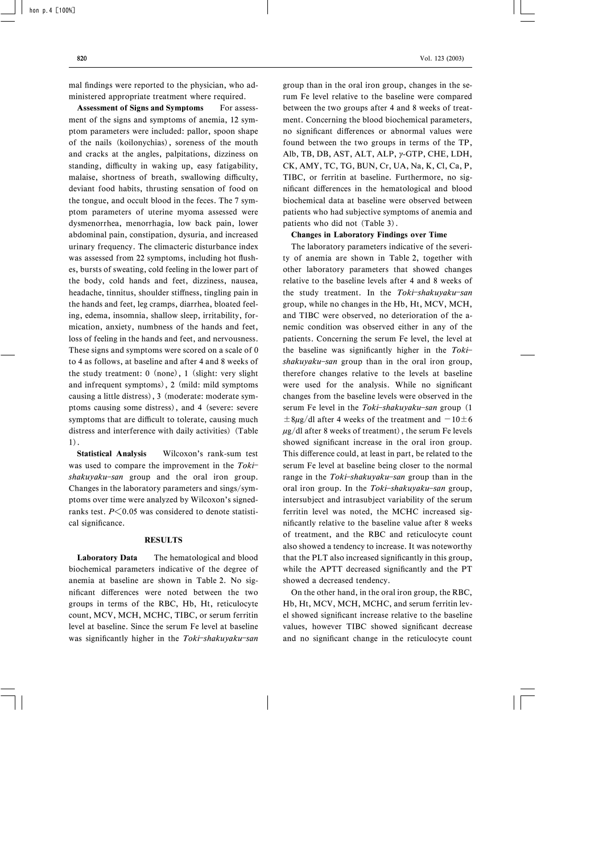mal findings were reported to the physician, who administered appropriate treatment where required.

Assessment of Signs and Symptoms For assessment of the signs and symptoms of anemia, 12 symptom parameters were included: pallor, spoon shape of the nails (koilonychias), soreness of the mouth and cracks at the angles, palpitations, dizziness on standing, difficulty in waking up, easy fatigability, malaise, shortness of breath, swallowing difficulty, deviant food habits, thrusting sensation of food on the tongue, and occult blood in the feces. The 7 symptom parameters of uterine myoma assessed were dysmenorrhea, menorrhagia, low back pain, lower abdominal pain, constipation, dysuria, and increased urinary frequency. The climacteric disturbance index was assessed from 22 symptoms, including hot flushes, bursts of sweating, cold feeling in the lower part of the body, cold hands and feet, dizziness, nausea, headache, tinnitus, shoulder stiffness, tingling pain in the hands and feet, leg cramps, diarrhea, bloated feeling, edema, insomnia, shallow sleep, irritability, formication, anxiety, numbness of the hands and feet, loss of feeling in the hands and feet, and nervousness. These signs and symptoms were scored on a scale of 0 to 4 as follows, at baseline and after 4 and 8 weeks of the study treatment: 0 (none), 1 (slight: very slight and infrequent symptoms), 2 (mild: mild symptoms causing a little distress), 3 (moderate: moderate symptoms causing some distress), and 4 (severe: severe symptoms that are difficult to tolerate, causing much distress and interference with daily activities) (Table 1).

Statistical Analysis Wilcoxon's rank-sum test was used to compare the improvement in the Toki $shakuyaku$ -san group and the oral iron group. Changes in the laboratory parameters and sings/symptoms over time were analyzed by Wilcoxon's signedranks test.  $P \leq 0.05$  was considered to denote statistical significance.

## RESULTS

Laboratory Data The hematological and blood biochemical parameters indicative of the degree of anemia at baseline are shown in Table 2. No significant differences were noted between the two groups in terms of the RBC, Hb, Ht, reticulocyte count, MCV, MCH, MCHC, TIBC, or serum ferritin level at baseline. Since the serum Fe level at baseline was significantly higher in the Toki-shakuyaku-san group than in the oral iron group, changes in the serum Fe level relative to the baseline were compared between the two groups after 4 and 8 weeks of treatment. Concerning the blood biochemical parameters, no significant differences or abnormal values were found between the two groups in terms of the TP, Alb, TB, DB, AST, ALT, ALP,  $\gamma$ -GTP, CHE, LDH, CK, AMY, TC, TG, BUN, Cr, UA, Na, K, Cl, Ca, P, TIBC, or ferritin at baseline. Furthermore, no significant differences in the hematological and blood biochemical data at baseline were observed between patients who had subjective symptoms of anemia and patients who did not (Table 3).

#### Changes in Laboratory Findings over Time

The laboratory parameters indicative of the severity of anemia are shown in Table 2, together with other laboratory parameters that showed changes relative to the baseline levels after 4 and 8 weeks of the study treatment. In the Toki-shakuyaku-san group, while no changes in the Hb, Ht, MCV, MCH, and TIBC were observed, no deterioration of the anemic condition was observed either in any of the patients. Concerning the serum Fe level, the level at the baseline was significantly higher in the  $Toki$  $shakuyaku$ -san group than in the oral iron group, therefore changes relative to the levels at baseline were used for the analysis. While no significant changes from the baseline levels were observed in the serum Fe level in the Toki-shakuyaku-san group  $(1)$  $\pm 8\mu$ g/dl after 4 weeks of the treatment and  $-10\pm 6$  $\mu$ g/dl after 8 weeks of treatment), the serum Fe levels showed significant increase in the oral iron group. This difference could, at least in part, be related to the serum Fe level at baseline being closer to the normal range in the  $Toki$ -shakuyaku-san group than in the oral iron group. In the Toki-shakuyaku-san group, intersubject and intrasubject variability of the serum ferritin level was noted, the MCHC increased significantly relative to the baseline value after 8 weeks of treatment, and the RBC and reticulocyte count also showed a tendency to increase. It was noteworthy that the PLT also increased significantly in this group, while the APTT decreased significantly and the PT showed a decreased tendency.

On the other hand, in the oral iron group, the RBC, Hb, Ht, MCV, MCH, MCHC, and serum ferritin level showed significant increase relative to the baseline values, however TIBC showed significant decrease and no significant change in the reticulocyte count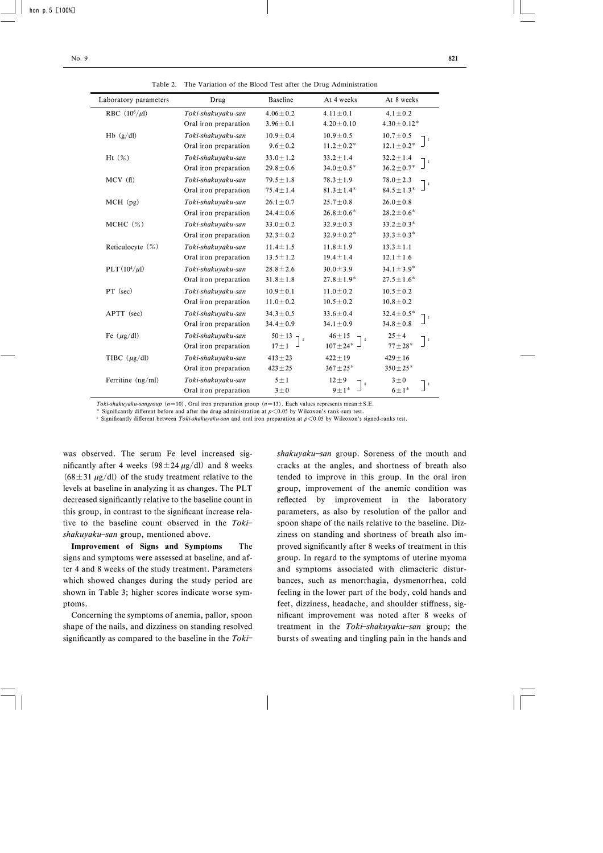| Laboratory parameters | Drug                                        | <b>Baseline</b>                         | At 4 weeks                                             | At 8 weeks                                |
|-----------------------|---------------------------------------------|-----------------------------------------|--------------------------------------------------------|-------------------------------------------|
| RBC $(10^6/\mu l)$    | Toki-shakuyaku-san                          | $4.06 \pm 0.2$                          | $4.11 \pm 0.1$                                         | $4.1 \pm 0.2$                             |
|                       | Oral iron preparation                       | $3.96 \pm 0.1$                          | $4.20 \pm 0.10$                                        | $4.30 \pm 0.12^*$                         |
| Hb (g/dl)             | Toki-shakuyaku-san                          | $10.9 \pm 0.4$                          | $10.9 \pm 0.5$                                         | $10.7 \pm 0.5$                            |
|                       | Oral iron preparation                       | $9.6 \pm 0.2$                           | $11.2 \pm 0.2^*$                                       | $12.1 \pm 0.2^*$                          |
| Ht $(\%)$             | Toki-shakuyaku-san                          | $33.0 \pm 1.2$                          | $33.2 \pm 1.4$                                         | $32.2 \pm 1.4$                            |
|                       | Oral iron preparation                       | $29.8 \pm 0.6$                          | $34.0 \pm 0.5*$                                        | $36.2 \pm 0.7^*$                          |
| MCV(f)                | Toki-shakuyaku-san                          | $79.5 \pm 1.8$                          | $78.3 \pm 1.9$                                         | $78.0 \pm 2.3$                            |
|                       | Oral iron preparation                       | $75.4 \pm 1.4$                          | $81.3 \pm 1.4*$                                        | $84.5 \pm 1.3^*$                          |
| MCH (pg)              | Toki-shakuyaku-san                          | $26.1 \pm 0.7$                          | $25.7 \pm 0.8$                                         | $26.0 \pm 0.8$                            |
|                       | Oral iron preparation                       | $24.4 \pm 0.6$                          | $26.8 \pm 0.6^*$                                       | $28.2 \pm 0.6^*$                          |
| $MCHC$ $(\%)$         | Toki-shakuyaku-san                          | $33.0 \pm 0.2$                          | $32.9 \pm 0.3$                                         | $33.2 \pm 0.3*$                           |
|                       | Oral iron preparation                       | $32.3 \pm 0.2$                          | $32.9 \pm 0.2*$                                        | $33.3 \pm 0.3^*$                          |
| Reticulocyte (%)      | Toki-shakuyaku-san                          | $11.4 \pm 1.5$                          | $11.8 \pm 1.9$                                         | $13.3 \pm 1.1$                            |
|                       | Oral iron preparation                       | $13.5 \pm 1.2$                          | $19.4 \pm 1.4$                                         | $12.1 \pm 1.6$                            |
| $PLT(10^4/\mu l)$     | Toki-shakuyaku-san                          | $28.8 \pm 2.6$                          | $30.0 \pm 3.9$                                         | $34.1 \pm 3.9^*$                          |
|                       | Oral iron preparation                       | $31.8 \pm 1.8$                          | $27.8 \pm 1.9$ <sup>*</sup>                            | $27.5 \pm 1.6^*$                          |
| PT (sec)              | Toki-shakuyaku-san                          | $10.9 \pm 0.1$                          | $11.0 \pm 0.2$                                         | $10.5 \pm 0.2$                            |
|                       | Oral iron preparation                       | $11.0 \pm 0.2$                          | $10.5 \pm 0.2$                                         | $10.8 \pm 0.2$                            |
| APTT (sec)            | Toki-shakuyaku-san                          | $34.3 \pm 0.5$                          | $33.6 \pm 0.4$                                         | $32.4 \pm 0.5^*$                          |
|                       | Oral iron preparation                       | $34.4 \pm 0.9$                          | $34.1 \pm 0.9$                                         | $34.8 \pm 0.8$                            |
| Fe $(\mu g/dl)$       | Toki-shakuyaku-san<br>Oral iron preparation | $50 \pm 13$<br>$\ddot{r}$<br>$17 \pm 1$ | $46 + 15$<br>$\ddot{\pi}$<br>$107 \pm 24$ <sup>*</sup> | $25 \pm 4$<br>$\ddagger$<br>$77 \pm 28^*$ |
| TIBC $(\mu g/dl)$     | Toki-shakuyaku-san                          | $413 \pm 23$                            | $422 \pm 19$                                           | $429 \pm 16$                              |
|                       | Oral iron preparation                       | $423 \pm 25$                            | $367 \pm 25*$                                          | $350 \pm 25*$                             |
| Ferritine (ng/ml)     | Toki-shakuyaku-san<br>Oral iron preparation | $5 \pm 1$<br>$3\pm0$                    | $12 \pm 9$<br>$\ddot{\pi}$<br>$9 \pm 1$ *              | $3\pm 0$<br>$\ddagger$<br>$6 \pm 1$ *     |

Table 2. The Variation of the Blood Test after the Drug Administration

Toki-shakuyaku-sangroup (n=10), Oral iron preparation group (n=13). Each values represents mean $\pm$ S.E.

Significantly different before and after the drug administration at  $p<0.05$  by Wilcoxon's rank-sum test.

<sup>#</sup> Significantly different between Toki-shakuyaku-san and oral iron preparation at  $p \le 0.05$  by Wilcoxon's signed-ranks test.

was observed. The serum Fe level increased significantly after 4 weeks  $(98 \pm 24 \,\mu g/d)$  and 8 weeks  $(68 \pm 31 \mu g/dl)$  of the study treatment relative to the levels at baseline in analyzing it as changes. The PLT decreased significantly relative to the baseline count in this group, in contrast to the significant increase relative to the baseline count observed in the Toki $shakuyaku$ -san group, mentioned above.

Improvement of Signs and Symptoms The signs and symptoms were assessed at baseline, and after 4 and 8 weeks of the study treatment. Parameters which showed changes during the study period are shown in Table 3; higher scores indicate worse symptoms.

Concerning the symptoms of anemia, pallor, spoon shape of the nails, and dizziness on standing resolved significantly as compared to the baseline in the  $Toki$ - shakuyaku-san group. Soreness of the mouth and cracks at the angles, and shortness of breath also tended to improve in this group. In the oral iron group, improvement of the anemic condition was reflected by improvement in the laboratory parameters, as also by resolution of the pallor and spoon shape of the nails relative to the baseline. Dizziness on standing and shortness of breath also improved significantly after 8 weeks of treatment in this group. In regard to the symptoms of uterine myoma and symptoms associated with climacteric disturbances, such as menorrhagia, dysmenorrhea, cold feeling in the lower part of the body, cold hands and feet, dizziness, headache, and shoulder stiffness, significant improvement was noted after 8 weeks of treatment in the Toki-shakuyaku-san group; the bursts of sweating and tingling pain in the hands and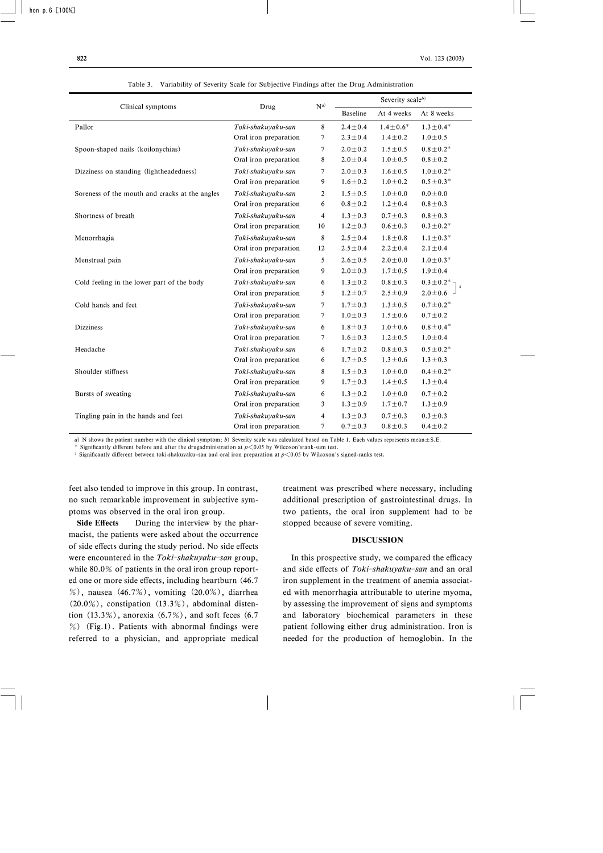|                                                |                       | $N^{a)}$       | Severity scaleb) |                          |                 |  |  |
|------------------------------------------------|-----------------------|----------------|------------------|--------------------------|-----------------|--|--|
| Clinical symptoms                              | Drug                  |                | <b>Baseline</b>  | At 8 weeks<br>At 4 weeks |                 |  |  |
| Pallor                                         | Toki-shakuyaku-san    | 8              | $2.4 \pm 0.4$    | $1.4 \pm 0.6^*$          | $1.3 \pm 0.4^*$ |  |  |
|                                                | Oral iron preparation | 7              | $2.3 \pm 0.4$    | $1.4 \pm 0.2$            | $1.0 \pm 0.5$   |  |  |
| Spoon-shaped nails (koilonychias)              | Toki-shakuyaku-san    | 7              | $2.0 \pm 0.2$    | $1.5 \pm 0.5$            | $0.8 \pm 0.2*$  |  |  |
|                                                | Oral iron preparation | 8              | $2.0 \pm 0.4$    | $1.0 \pm 0.5$            | $0.8 + 0.2$     |  |  |
| Dizziness on standing (lightheadedness)        | Toki-shakuyaku-san    | 7              | $2.0 \pm 0.3$    | $1.6 \pm 0.5$            | $1.0 \pm 0.2*$  |  |  |
|                                                | Oral iron preparation | 9              | $1.6 \pm 0.2$    | $1.0 \pm 0.2$            | $0.5 \pm 0.3*$  |  |  |
| Soreness of the mouth and cracks at the angles | Toki-shakuyaku-san    | $\overline{2}$ | $1.5 \pm 0.5$    | $1.0 \pm 0.0$            | $0.0 \pm 0.0$   |  |  |
|                                                | Oral iron preparation | 6              | $0.8 \pm 0.2$    | $1.2 \pm 0.4$            | $0.8 \pm 0.3$   |  |  |
| Shortness of breath                            | Toki-shakuyaku-san    | $\overline{4}$ | $1.3 \pm 0.3$    | $0.7 \pm 0.3$            | $0.8 \pm 0.3$   |  |  |
|                                                | Oral iron preparation | 10             | $1.2 \pm 0.3$    | $0.6 \pm 0.3$            | $0.3 \pm 0.2^*$ |  |  |
| Menorrhagia                                    | Toki-shakuyaku-san    | 8              | $2.5 \pm 0.4$    | $1.8 \pm 0.8$            | $1.1 \pm 0.3*$  |  |  |
|                                                | Oral iron preparation | 12             | $2.5 \pm 0.4$    | $2.2 \pm 0.4$            | $2.1 \pm 0.4$   |  |  |
| Menstrual pain                                 | Toki-shakuyaku-san    | 5              | $2.6 \pm 0.5$    | $2.0 \pm 0.0$            | $1.0 \pm 0.3*$  |  |  |
|                                                | Oral iron preparation | 9              | $2.0 \pm 0.3$    | $1.7 \pm 0.5$            | $1.9 \pm 0.4$   |  |  |
| Cold feeling in the lower part of the body     | Toki-shakuyaku-san    | 6              | $1.3 \pm 0.2$    | $0.8 \pm 0.3$            | $0.3 \pm 0.2$ * |  |  |
|                                                | Oral iron preparation | 5              | $1.2 \pm 0.7$    | $2.5 \pm 0.9$            | $2.0 \pm 0.6$ - |  |  |
| Cold hands and feet                            | Toki-shakuyaku-san    | 7              | $1.7 \pm 0.3$    | $1.3 \pm 0.5$            | $0.7 \pm 0.2^*$ |  |  |
|                                                | Oral iron preparation | $\overline{7}$ | $1.0 \pm 0.3$    | $1.5 \pm 0.6$            | $0.7 \pm 0.2$   |  |  |
| <b>Dizziness</b>                               | Toki-shakuyaku-san    | 6              | $1.8 \pm 0.3$    | $1.0 \pm 0.6$            | $0.8 \pm 0.4*$  |  |  |
|                                                | Oral iron preparation | 7              | $1.6 \pm 0.3$    | $1.2 \pm 0.5$            | $1.0 \pm 0.4$   |  |  |
| Headache                                       | Toki-shakuyaku-san    | 6              | $1.7 \pm 0.2$    | $0.8 \pm 0.3$            | $0.5 \pm 0.2^*$ |  |  |
|                                                | Oral iron preparation | 6              | $1.7 \pm 0.5$    | $1.3 \pm 0.6$            | $1.3 \pm 0.3$   |  |  |
| Shoulder stiffness                             | Toki-shakuyaku-san    | 8              | $1.5 \pm 0.3$    | $1.0 \pm 0.0$            | $0.4 \pm 0.2^*$ |  |  |
|                                                | Oral iron preparation | 9              | $1.7 \pm 0.3$    | $1.4 \pm 0.5$            | $1.3 \pm 0.4$   |  |  |
| Bursts of sweating                             | Toki-shakuyaku-san    | 6              | $1.3 \pm 0.2$    | $1.0 \pm 0.0$            | $0.7 \pm 0.2$   |  |  |
|                                                | Oral iron preparation | 3              | $1.3 \pm 0.9$    | $1.7 \pm 0.7$            | $1.3 \pm 0.9$   |  |  |
| Tingling pain in the hands and feet            | Toki-shakuyaku-san    | 4              | $1.3 \pm 0.3$    | $0.7 \pm 0.3$            | $0.3 \pm 0.3$   |  |  |
|                                                | Oral iron preparation | 7              | $0.7 + 0.3$      | $0.8 + 0.3$              | $0.4 \pm 0.2$   |  |  |

Table 3. Variability of Severity Scale for Subjective Findings after the Drug Administration

a) N shows the patient number with the clinical symptom; b) Severity scale was calculated based on Table 1. Each values represents mean $\pm$  S.E.

Significantly different before and after the drugadministration at  $p<0.05$  by Wilcoxon'srank-sum test.

Significantly different between toki-shakuyaku-san and oral iron preparation at  $p\leq 0.05$  by Wilcoxon's signed-ranks test.

feet also tended to improve in this group. In contrast, no such remarkable improvement in subjective symptoms was observed in the oral iron group.

Side Effects During the interview by the pharmacist, the patients were asked about the occurrence of side effects during the study period. No side effects were encountered in the Toki-shakuyaku-san group, while 80.0% of patients in the oral iron group reported one or more side effects, including heartburn (46.7) %), nausea (46.7%), vomiting (20.0%), diarrhea  $(20.0\%)$ , constipation  $(13.3\%)$ , abdominal distention  $(13.3\%)$ , anorexia  $(6.7\%)$ , and soft feces  $(6.7\%)$  $%$  (Fig.1). Patients with abnormal findings were referred to a physician, and appropriate medical treatment was prescribed where necessary, including additional prescription of gastrointestinal drugs. In two patients, the oral iron supplement had to be stopped because of severe vomiting.

### DISCUSSION

In this prospective study, we compared the efficacy and side effects of Toki-shakuyaku-san and an oral iron supplement in the treatment of anemia associated with menorrhagia attributable to uterine myoma, by assessing the improvement of signs and symptoms and laboratory biochemical parameters in these patient following either drug administration. Iron is needed for the production of hemoglobin. In the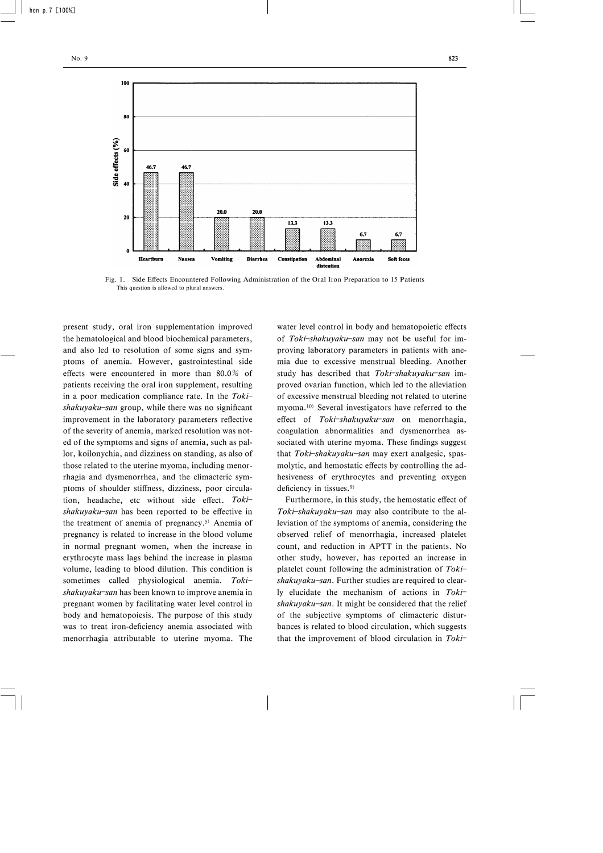

Fig. 1. Side Effects Encountered Following Administration of the Oral Iron Preparation to 15 Patients This question is allowed to plural answers.

present study, oral iron supplementation improved the hematological and blood biochemical parameters, and also led to resolution of some signs and symptoms of anemia. However, gastrointestinal side effects were encountered in more than  $80.0\%$  of patients receiving the oral iron supplement, resulting in a poor medication compliance rate. In the  $Toki$  $shakuyaku$ -san group, while there was no significant improvement in the laboratory parameters reflective of the severity of anemia, marked resolution was noted of the symptoms and signs of anemia, such as pallor, koilonychia, and dizziness on standing, as also of those related to the uterine myoma, including menorrhagia and dysmenorrhea, and the climacteric symptoms of shoulder stiffness, dizziness, poor circulation, headache, etc without side effect. Tokishakuyaku-san has been reported to be effective in the treatment of anemia of pregnancy.<sup>5)</sup> Anemia of pregnancy is related to increase in the blood volume in normal pregnant women, when the increase in erythrocyte mass lags behind the increase in plasma volume, leading to blood dilution. This condition is sometimes called physiological anemia. Toki $shakuyaku$ -san has been known to improve anemia in pregnant women by facilitating water level control in body and hematopoiesis. The purpose of this study was to treat iron-deficiency anemia associated with menorrhagia attributable to uterine myoma. The water level control in body and hematopoietic effects of Toki-shakuyaku-san may not be useful for improving laboratory parameters in patients with anemia due to excessive menstrual bleeding. Another study has described that Toki-shakuyaku-san improved ovarian function, which led to the alleviation of excessive menstrual bleeding not related to uterine myoma.10) Several investigators have referred to the effect of Toki-shakuyaku-san on menorrhagia, coagulation abnormalities and dysmenorrhea associated with uterine myoma. These findings suggest that Toki-shakuyaku-san may exert analgesic, spasmolytic, and hemostatic effects by controlling the adhesiveness of erythrocytes and preventing oxygen deficiency in tissues. $9$ 

Furthermore, in this study, the hemostatic effect of Toki-shakuyaku-san may also contribute to the alleviation of the symptoms of anemia, considering the observed relief of menorrhagia, increased platelet count, and reduction in APTT in the patients. No other study, however, has reported an increase in platelet count following the administration of Toki $shakuyaku$ -san. Further studies are required to clearly elucidate the mechanism of actions in Toki shakuyaku-san. It might be considered that the relief of the subjective symptoms of climacteric disturbances is related to blood circulation, which suggests that the improvement of blood circulation in  $Toki$ -